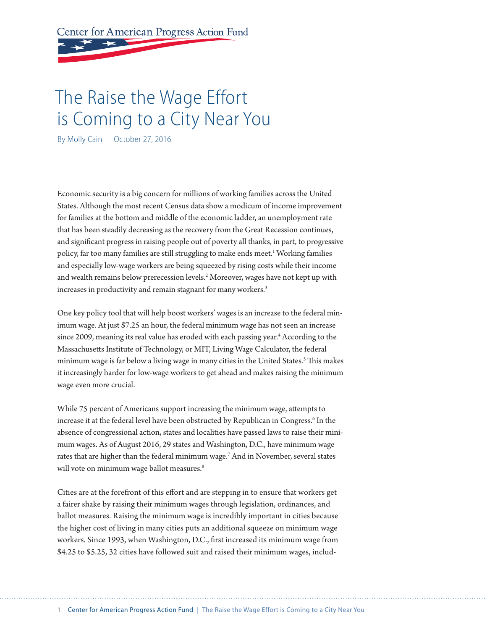Center for American Progress Action Fund

# The Raise the Wage Effort is Coming to a City Near You

By Molly Cain October 27, 2016

Economic security is a big concern for millions of working families across the United States. Although the most recent Census data show a modicum of income improvement for families at the bottom and middle of the economic ladder, an unemployment rate that has been steadily decreasing as the recovery from the Great Recession continues, and significant progress in raising people out of poverty all thanks, in part, to progressive policy, far too many families are still struggling to make ends meet.<sup>1</sup> Working families and especially low-wage workers are being squeezed by rising costs while their income and wealth remains below prerecession levels.<sup>2</sup> Moreover, wages have not kept up with increases in productivity and remain stagnant for many workers.<sup>3</sup>

One key policy tool that will help boost workers' wages is an increase to the federal minimum wage. At just \$7.25 an hour, the federal minimum wage has not seen an increase since 2009, meaning its real value has eroded with each passing year.<sup>4</sup> According to the Massachusetts Institute of Technology, or MIT, Living Wage Calculator, the federal minimum wage is far below a living wage in many cities in the United States.5 This makes it increasingly harder for low-wage workers to get ahead and makes raising the minimum wage even more crucial.

While 75 percent of Americans support increasing the minimum wage, attempts to increase it at the federal level have been obstructed by Republican in Congress.<sup>6</sup> In the absence of congressional action, states and localities have passed laws to raise their minimum wages. As of August 2016, 29 states and Washington, D.C., have minimum wage rates that are higher than the federal minimum wage.7 And in November, several states will vote on minimum wage ballot measures.<sup>8</sup>

Cities are at the forefront of this effort and are stepping in to ensure that workers get a fairer shake by raising their minimum wages through legislation, ordinances, and ballot measures. Raising the minimum wage is incredibly important in cities because the higher cost of living in many cities puts an additional squeeze on minimum wage workers. Since 1993, when Washington, D.C., first increased its minimum wage from \$4.25 to \$5.25, 32 cities have followed suit and raised their minimum wages, includ-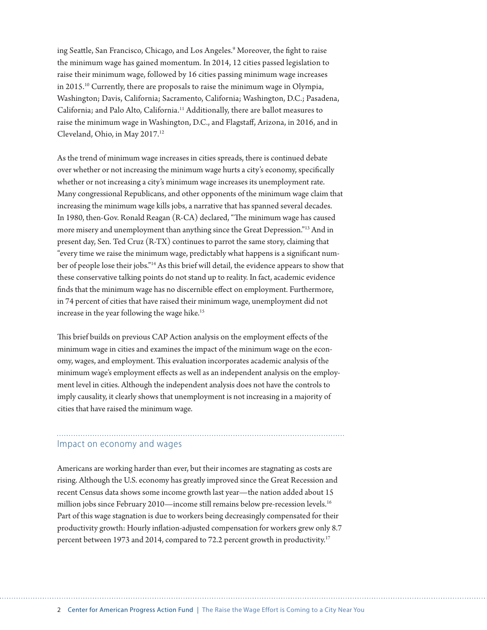ing Seattle, San Francisco, Chicago, and Los Angeles.9 Moreover, the fight to raise the minimum wage has gained momentum. In 2014, 12 cities passed legislation to raise their minimum wage, followed by 16 cities passing minimum wage increases in 2015.10 Currently, there are proposals to raise the minimum wage in Olympia, Washington; Davis, California; Sacramento, California; Washington, D.C.; Pasadena, California; and Palo Alto, California.11 Additionally, there are ballot measures to raise the minimum wage in Washington, D.C., and Flagstaff, Arizona, in 2016, and in Cleveland, Ohio, in May 2017.12

As the trend of minimum wage increases in cities spreads, there is continued debate over whether or not increasing the minimum wage hurts a city's economy, specifically whether or not increasing a city's minimum wage increases its unemployment rate. Many congressional Republicans, and other opponents of the minimum wage claim that increasing the minimum wage kills jobs, a narrative that has spanned several decades. In 1980, then-Gov. Ronald Reagan (R-CA) declared, "The minimum wage has caused more misery and unemployment than anything since the Great Depression."13 And in present day, Sen. Ted Cruz (R-TX) continues to parrot the same story, claiming that "every time we raise the minimum wage, predictably what happens is a significant number of people lose their jobs."14 As this brief will detail, the evidence appears to show that these conservative talking points do not stand up to reality. In fact, academic evidence finds that the minimum wage has no discernible effect on employment. Furthermore, in 74 percent of cities that have raised their minimum wage, unemployment did not increase in the year following the wage hike.<sup>15</sup>

This brief builds on previous CAP Action analysis on the employment effects of the minimum wage in cities and examines the impact of the minimum wage on the economy, wages, and employment. This evaluation incorporates academic analysis of the minimum wage's employment effects as well as an independent analysis on the employment level in cities. Although the independent analysis does not have the controls to imply causality, it clearly shows that unemployment is not increasing in a majority of cities that have raised the minimum wage.

# Impact on economy and wages

Americans are working harder than ever, but their incomes are stagnating as costs are rising. Although the U.S. economy has greatly improved since the Great Recession and recent Census data shows some income growth last year—the nation added about 15 million jobs since February 2010—income still remains below pre-recession levels.<sup>16</sup> Part of this wage stagnation is due to workers being decreasingly compensated for their productivity growth: Hourly inflation-adjusted compensation for workers grew only 8.7 percent between 1973 and 2014, compared to 72.2 percent growth in productivity.<sup>17</sup>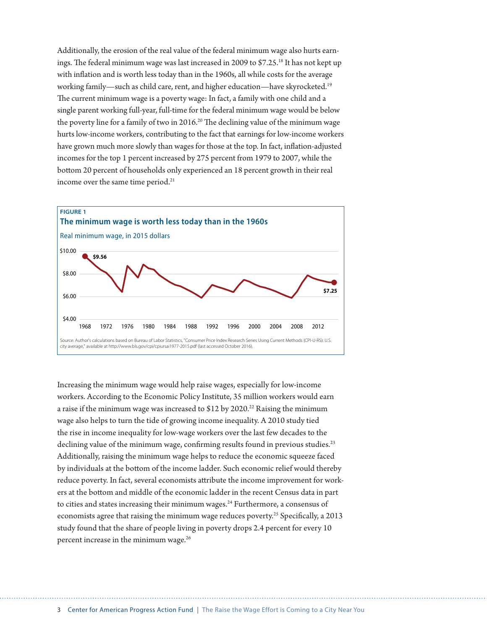Additionally, the erosion of the real value of the federal minimum wage also hurts earnings. The federal minimum wage was last increased in 2009 to \$7.25.<sup>18</sup> It has not kept up with inflation and is worth less today than in the 1960s, all while costs for the average working family—such as child care, rent, and higher education—have skyrocketed.19 The current minimum wage is a poverty wage: In fact, a family with one child and a single parent working full-year, full-time for the federal minimum wage would be below the poverty line for a family of two in 2016.<sup>20</sup> The declining value of the minimum wage hurts low-income workers, contributing to the fact that earnings for low-income workers have grown much more slowly than wages for those at the top. In fact, inflation-adjusted incomes for the top 1 percent increased by 275 percent from 1979 to 2007, while the bottom 20 percent of households only experienced an 18 percent growth in their real income over the same time period.<sup>21</sup>



Increasing the minimum wage would help raise wages, especially for low-income workers. According to the Economic Policy Institute, 35 million workers would earn a raise if the minimum wage was increased to  $$12$  by  $2020.^{22}$  Raising the minimum wage also helps to turn the tide of growing income inequality. A 2010 study tied the rise in income inequality for low-wage workers over the last few decades to the declining value of the minimum wage, confirming results found in previous studies.<sup>23</sup> Additionally, raising the minimum wage helps to reduce the economic squeeze faced by individuals at the bottom of the income ladder. Such economic relief would thereby reduce poverty. In fact, several economists attribute the income improvement for workers at the bottom and middle of the economic ladder in the recent Census data in part to cities and states increasing their minimum wages. $^{24}$  Furthermore, a consensus of economists agree that raising the minimum wage reduces poverty.<sup>25</sup> Specifically, a 2013 study found that the share of people living in poverty drops 2.4 percent for every 10 percent increase in the minimum wage.26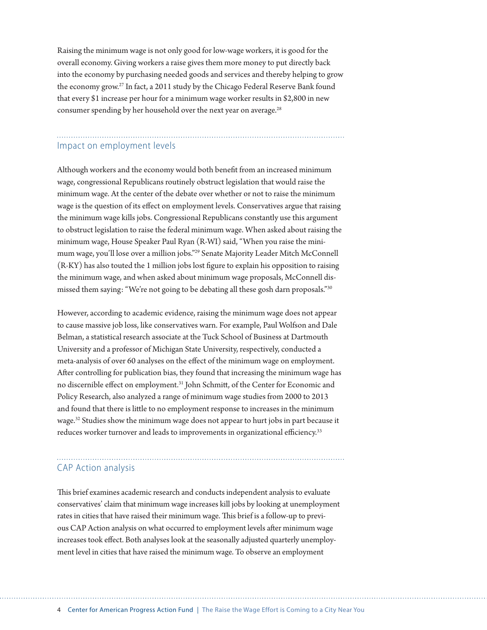Raising the minimum wage is not only good for low-wage workers, it is good for the overall economy. Giving workers a raise gives them more money to put directly back into the economy by purchasing needed goods and services and thereby helping to grow the economy grow.27 In fact, a 2011 study by the Chicago Federal Reserve Bank found that every \$1 increase per hour for a minimum wage worker results in \$2,800 in new consumer spending by her household over the next year on average.<sup>28</sup>

# Impact on employment levels

Although workers and the economy would both benefit from an increased minimum wage, congressional Republicans routinely obstruct legislation that would raise the minimum wage. At the center of the debate over whether or not to raise the minimum wage is the question of its effect on employment levels. Conservatives argue that raising the minimum wage kills jobs. Congressional Republicans constantly use this argument to obstruct legislation to raise the federal minimum wage. When asked about raising the minimum wage, House Speaker Paul Ryan (R-WI) said, "When you raise the minimum wage, you'll lose over a million jobs."29 Senate Majority Leader Mitch McConnell (R-KY) has also touted the 1 million jobs lost figure to explain his opposition to raising the minimum wage, and when asked about minimum wage proposals, McConnell dismissed them saying: "We're not going to be debating all these gosh darn proposals."30

However, according to academic evidence, raising the minimum wage does not appear to cause massive job loss, like conservatives warn. For example, Paul Wolfson and Dale Belman, a statistical research associate at the Tuck School of Business at Dartmouth University and a professor of Michigan State University, respectively, conducted a meta-analysis of over 60 analyses on the effect of the minimum wage on employment. After controlling for publication bias, they found that increasing the minimum wage has no discernible effect on employment.31 John Schmitt, of the Center for Economic and Policy Research, also analyzed a range of minimum wage studies from 2000 to 2013 and found that there is little to no employment response to increases in the minimum wage.32 Studies show the minimum wage does not appear to hurt jobs in part because it reduces worker turnover and leads to improvements in organizational efficiency.<sup>33</sup>

# CAP Action analysis

This brief examines academic research and conducts independent analysis to evaluate conservatives' claim that minimum wage increases kill jobs by looking at unemployment rates in cities that have raised their minimum wage. This brief is a follow-up to previous CAP Action analysis on what occurred to employment levels after minimum wage increases took effect. Both analyses look at the seasonally adjusted quarterly unemployment level in cities that have raised the minimum wage. To observe an employment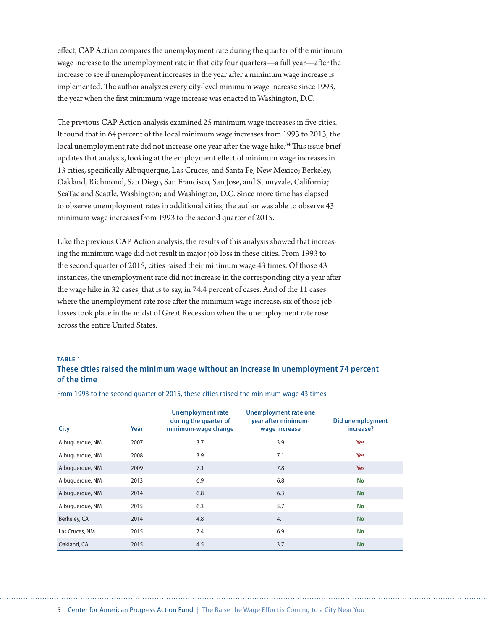effect, CAP Action compares the unemployment rate during the quarter of the minimum wage increase to the unemployment rate in that city four quarters—a full year—after the increase to see if unemployment increases in the year after a minimum wage increase is implemented. The author analyzes every city-level minimum wage increase since 1993, the year when the first minimum wage increase was enacted in Washington, D.C.

The previous CAP Action analysis examined 25 minimum wage increases in five cities. It found that in 64 percent of the local minimum wage increases from 1993 to 2013, the local unemployment rate did not increase one year after the wage hike.<sup>34</sup> This issue brief updates that analysis, looking at the employment effect of minimum wage increases in 13 cities, specifically Albuquerque, Las Cruces, and Santa Fe, New Mexico; Berkeley, Oakland, Richmond, San Diego, San Francisco, San Jose, and Sunnyvale, California; SeaTac and Seattle, Washington; and Washington, D.C. Since more time has elapsed to observe unemployment rates in additional cities, the author was able to observe 43 minimum wage increases from 1993 to the second quarter of 2015.

Like the previous CAP Action analysis, the results of this analysis showed that increasing the minimum wage did not result in major job loss in these cities. From 1993 to the second quarter of 2015, cities raised their minimum wage 43 times. Of those 43 instances, the unemployment rate did not increase in the corresponding city a year after the wage hike in 32 cases, that is to say, in 74.4 percent of cases. And of the 11 cases where the unemployment rate rose after the minimum wage increase, six of those job losses took place in the midst of Great Recession when the unemployment rate rose across the entire United States.

#### **TABLE 1**

### **These cities raised the minimum wage without an increase in unemployment 74 percent of the time**

| City            | Year | <b>Unemployment rate</b><br>during the quarter of<br>minimum-wage change | Unemployment rate one<br>year after minimum-<br>wage increase | Did unemployment<br>increase? |
|-----------------|------|--------------------------------------------------------------------------|---------------------------------------------------------------|-------------------------------|
| Albuquerque, NM | 2007 | 3.7                                                                      | 3.9                                                           | Yes                           |
| Albuquerque, NM | 2008 | 3.9                                                                      | 7.1                                                           | Yes                           |
| Albuquerque, NM | 2009 | 7.1                                                                      | 7.8                                                           | Yes                           |
| Albuquerque, NM | 2013 | 6.9                                                                      | 6.8                                                           | <b>No</b>                     |
| Albuquerque, NM | 2014 | 6.8                                                                      | 6.3                                                           | <b>No</b>                     |
| Albuquerque, NM | 2015 | 6.3                                                                      | 5.7                                                           | <b>No</b>                     |
| Berkeley, CA    | 2014 | 4.8                                                                      | 4.1                                                           | <b>No</b>                     |
| Las Cruces, NM  | 2015 | 7.4                                                                      | 6.9                                                           | <b>No</b>                     |
| Oakland, CA     | 2015 | 4.5                                                                      | 3.7                                                           | <b>No</b>                     |

From 1993 to the second quarter of 2015, these cities raised the minimum wage 43 times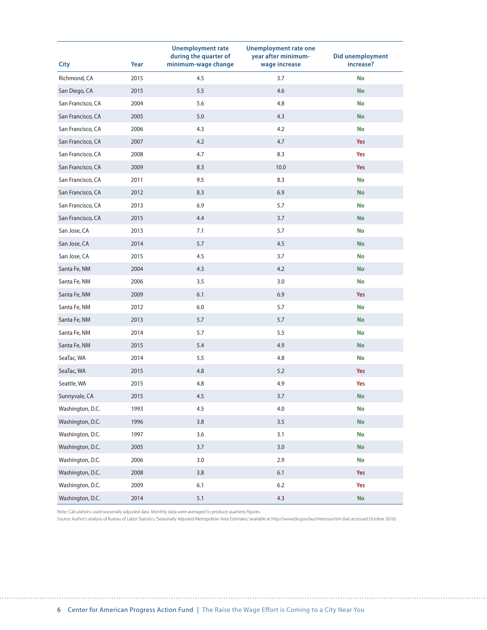|                   |      | <b>Unemployment rate</b><br>during the quarter of | <b>Unemployment rate one</b><br>year after minimum- | Did unemployment |
|-------------------|------|---------------------------------------------------|-----------------------------------------------------|------------------|
| <b>City</b>       | Year | minimum-wage change                               | wage increase                                       | increase?        |
| Richmond, CA      | 2015 | 4.5                                               | 3.7                                                 | No               |
| San Diego, CA     | 2015 | 5.5                                               | 4.6                                                 | <b>No</b>        |
| San Francisco, CA | 2004 | 5.6                                               | 4.8                                                 | No               |
| San Francisco, CA | 2005 | 5.0                                               | 4.3                                                 | <b>No</b>        |
| San Francisco, CA | 2006 | 4.3                                               | 4.2                                                 | <b>No</b>        |
| San Francisco, CA | 2007 | 4.2                                               | 4.7                                                 | Yes              |
| San Francisco, CA | 2008 | 4.7                                               | 8.3                                                 | Yes              |
| San Francisco, CA | 2009 | 8.3                                               | 10.0                                                | Yes              |
| San Francisco, CA | 2011 | 9.5                                               | 8.3                                                 | No               |
| San Francisco, CA | 2012 | 8.3                                               | 6.9                                                 | <b>No</b>        |
| San Francisco, CA | 2013 | 6.9                                               | 5.7                                                 | <b>No</b>        |
| San Francisco, CA | 2015 | 4.4                                               | $3.7$                                               | No               |
| San Jose, CA      | 2013 | 7.1                                               | 5.7                                                 | No               |
| San Jose, CA      | 2014 | 5.7                                               | 4.5                                                 | <b>No</b>        |
| San Jose, CA      | 2015 | 4.5                                               | 3.7                                                 | No               |
| Santa Fe, NM      | 2004 | 4.3                                               | 4.2                                                 | <b>No</b>        |
| Santa Fe, NM      | 2006 | 3.5                                               | 3.0                                                 | <b>No</b>        |
| Santa Fe, NM      | 2009 | 6.1                                               | 6.9                                                 | Yes              |
| Santa Fe, NM      | 2012 | 6.0                                               | 5.7                                                 | <b>No</b>        |
| Santa Fe, NM      | 2013 | 5.7                                               | 5.7                                                 | <b>No</b>        |
| Santa Fe, NM      | 2014 | 5.7                                               | 5.5                                                 | No               |
| Santa Fe, NM      | 2015 | 5.4                                               | 4.9                                                 | <b>No</b>        |
| SeaTac, WA        | 2014 | 5.5                                               | 4.8                                                 | <b>No</b>        |
| SeaTac, WA        | 2015 | 4.8                                               | 5.2                                                 | Yes              |
| Seattle, WA       | 2015 | 4.8                                               | 4.9                                                 | Yes              |
| Sunnyvale, CA     | 2015 | 4.5                                               | 3.7                                                 | No               |
| Washington, D.C.  | 1993 | 4.5                                               | 4.0                                                 | No               |
| Washington, D.C.  | 1996 | 3.8                                               | 3.5                                                 | No               |
| Washington, D.C.  | 1997 | 3.6                                               | 3.1                                                 | No               |
| Washington, D.C.  | 2005 | 3.7                                               | $3.0\,$                                             | <b>No</b>        |
| Washington, D.C.  | 2006 | 3.0                                               | 2.9                                                 | <b>No</b>        |
| Washington, D.C.  | 2008 | $3.8\,$                                           | 6.1                                                 | Yes              |
| Washington, D.C.  | 2009 | 6.1                                               | 6.2                                                 | Yes              |
| Washington, D.C.  | 2014 | 5.1                                               | 4.3                                                 | No               |

Note: Calculations used seasonally adjusted data. Monthly data were averaged to produce quarterly figures.

Source: Author's analysis of Bureau of Labor Statistics, "Seasonally Adjusted Metropolitan Area Estimates," available at http://www.bls.gov/lau/metrossa.htm (last accessed October 2016).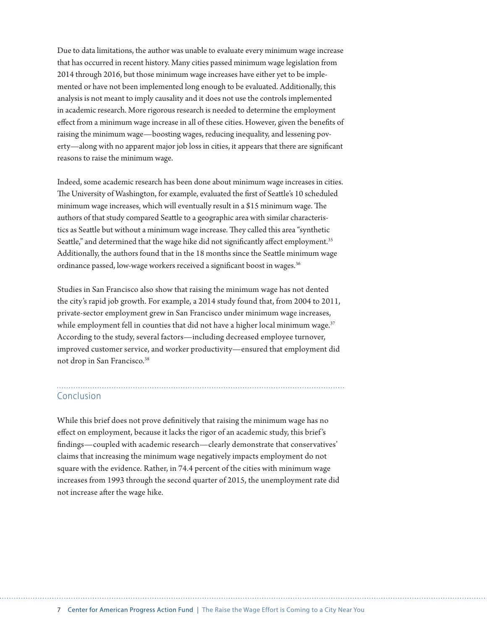Due to data limitations, the author was unable to evaluate every minimum wage increase that has occurred in recent history. Many cities passed minimum wage legislation from 2014 through 2016, but those minimum wage increases have either yet to be implemented or have not been implemented long enough to be evaluated. Additionally, this analysis is not meant to imply causality and it does not use the controls implemented in academic research. More rigorous research is needed to determine the employment effect from a minimum wage increase in all of these cities. However, given the benefits of raising the minimum wage—boosting wages, reducing inequality, and lessening poverty—along with no apparent major job loss in cities, it appears that there are significant reasons to raise the minimum wage.

Indeed, some academic research has been done about minimum wage increases in cities. The University of Washington, for example, evaluated the first of Seattle's 10 scheduled minimum wage increases, which will eventually result in a \$15 minimum wage. The authors of that study compared Seattle to a geographic area with similar characteristics as Seattle but without a minimum wage increase. They called this area "synthetic Seattle," and determined that the wage hike did not significantly affect employment.<sup>35</sup> Additionally, the authors found that in the 18 months since the Seattle minimum wage ordinance passed, low-wage workers received a significant boost in wages.<sup>36</sup>

Studies in San Francisco also show that raising the minimum wage has not dented the city's rapid job growth. For example, a 2014 study found that, from 2004 to 2011, private-sector employment grew in San Francisco under minimum wage increases, while employment fell in counties that did not have a higher local minimum wage.<sup>37</sup> According to the study, several factors—including decreased employee turnover, improved customer service, and worker productivity—ensured that employment did not drop in San Francisco.38

## Conclusion

While this brief does not prove definitively that raising the minimum wage has no effect on employment, because it lacks the rigor of an academic study, this brief 's findings—coupled with academic research—clearly demonstrate that conservatives' claims that increasing the minimum wage negatively impacts employment do not square with the evidence. Rather, in 74.4 percent of the cities with minimum wage increases from 1993 through the second quarter of 2015, the unemployment rate did not increase after the wage hike.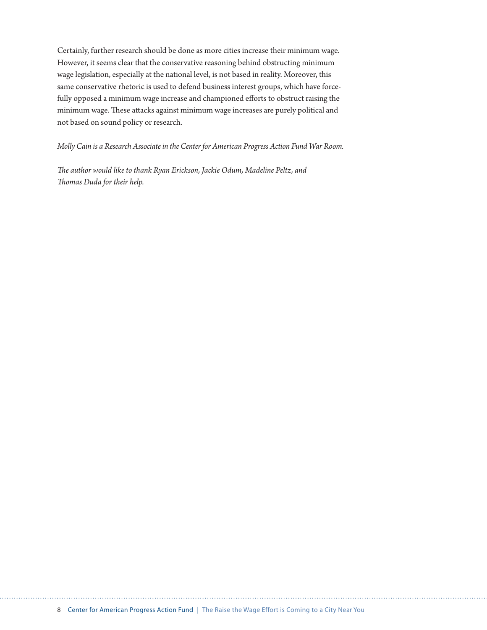Certainly, further research should be done as more cities increase their minimum wage. However, it seems clear that the conservative reasoning behind obstructing minimum wage legislation, especially at the national level, is not based in reality. Moreover, this same conservative rhetoric is used to defend business interest groups, which have forcefully opposed a minimum wage increase and championed efforts to obstruct raising the minimum wage. These attacks against minimum wage increases are purely political and not based on sound policy or research.

*Molly Cain is a Research Associate in the Center for American Progress Action Fund War Room.* 

*The author would like to thank Ryan Erickson, Jackie Odum, Madeline Peltz, and Thomas Duda for their help.*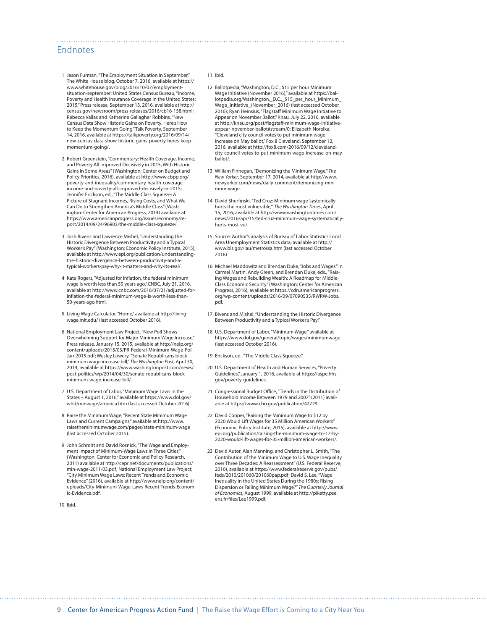# Endnotes

- 1 Jason Furman, "The Employment Situation in September," The White House blog, October 7, 2016, available at [https://](https://www.whitehouse.gov/blog/2016/10/07/employment-situation-september) [www.whitehouse.gov/blog/2016/10/07/employment](https://www.whitehouse.gov/blog/2016/10/07/employment-situation-september)[situation-september](https://www.whitehouse.gov/blog/2016/10/07/employment-situation-september); United States Census Bureau, "Income, Poverty and Health Insurance Coverage in the United States: 2015," Press release, September 13, 2016, available at [http://](http://census.gov/newsroom/press-releases/2016/cb16-158.html) [census.gov/newsroom/press-releases/2016/cb16-158.html](http://census.gov/newsroom/press-releases/2016/cb16-158.html); Rebecca Vallas and Katherine Gallagher Robbins, "New Census Data Show Historic Gains on Poverty. Here's How to Keep the Momentum Going," Talk Poverty, September 14, 2016, available at [https://talkpoverty.org/2016/09/14/](https://talkpoverty.org/2016/09/14/new-census-data-show-historic-gains-poverty-heres-keep-momentum-going/) [new-census-data-show-historic-gains-poverty-heres-keep](https://talkpoverty.org/2016/09/14/new-census-data-show-historic-gains-poverty-heres-keep-momentum-going/)[momentum-going/.](https://talkpoverty.org/2016/09/14/new-census-data-show-historic-gains-poverty-heres-keep-momentum-going/)
- 2 Robert Greenstein, "Commentary: Health Coverage, Income, and Poverty All Improved Decisively in 2015, With Historic Gains in Some Areas" (Washington: Center on Budget and Policy Priorities, 2016), available at [http://www.cbpp.org/](http://www.cbpp.org/poverty-and-inequality/commentary-health-coverage-income-and-poverty-all-improved-decisively-in-2015) [poverty-and-inequality/commentary-health-coverage](http://www.cbpp.org/poverty-and-inequality/commentary-health-coverage-income-and-poverty-all-improved-decisively-in-2015)[income-and-poverty-all-improved-decisively-in-2015](http://www.cbpp.org/poverty-and-inequality/commentary-health-coverage-income-and-poverty-all-improved-decisively-in-2015); Jennifer Erickson, ed., "The Middle Class Squeeze: A Picture of Stagnant Incomes, Rising Costs, and What We Can Do to Strengthen America's Middle Class" (Washington: Center for American Progress, 2014) available at [https://www.americanprogress.org/issues/economy/re](https://www.americanprogress.org/issues/economy/report/2014/09/24/96903/the-middle-class-squeeze/)[port/2014/09/24/96903/the-middle-class-squeeze/](https://www.americanprogress.org/issues/economy/report/2014/09/24/96903/the-middle-class-squeeze/).
- 3 Josh Bivens and Lawrence Mishel, "Understanding the Historic Divergence Between Productivity and a Typical Worker's Pay" (Washington: Economic Policy Institute, 2015), available at [http://www.epi.org/publication/understanding](http://www.epi.org/publication/understanding-the-historic-divergence-between-productivity-and-a-typical-workers-pay-why-it-matters-and-why-its-real/)[the-historic-divergence-between-productivity-and-a](http://www.epi.org/publication/understanding-the-historic-divergence-between-productivity-and-a-typical-workers-pay-why-it-matters-and-why-its-real/)[typical-workers-pay-why-it-matters-and-why-its-real/](http://www.epi.org/publication/understanding-the-historic-divergence-between-productivity-and-a-typical-workers-pay-why-it-matters-and-why-its-real/).
- 4 Kate Rogers, "Adjusted for inflation, the federal minimum wage is worth less than 50 years ago," CNBC, July 21, 2016, available at [http://www.cnbc.com/2016/07/21/adjusted-for](http://www.cnbc.com/2016/07/21/adjusted-for-inflation-the-federal-minimum-wage-is-worth-less-than-50-years-ago.html)[inflation-the-federal-minimum-wage-is-worth-less-than-](http://www.cnbc.com/2016/07/21/adjusted-for-inflation-the-federal-minimum-wage-is-worth-less-than-50-years-ago.html)[50-years-ago.html.](http://www.cnbc.com/2016/07/21/adjusted-for-inflation-the-federal-minimum-wage-is-worth-less-than-50-years-ago.html)
- 5 Living Wage Calculator, "Home," available at [http://living](http://livingwage.mit.edu/)[wage.mit.edu/](http://livingwage.mit.edu/) (last accessed October 2016).
- 6 National Employment Law Project, "New Poll Shows Overwhelming Support for Major Minimum Wage Increase," Press release, January 15, 2015, available at [http://nelp.org/](http://nelp.org/content/uploads/2015/03/PR-Federal-Minimum-Wage-Poll-Jan-2015.pdf) [content/uploads/2015/03/PR-Federal-Minimum-Wage-Poll-](http://nelp.org/content/uploads/2015/03/PR-Federal-Minimum-Wage-Poll-Jan-2015.pdf)[Jan-2015.pdf](http://nelp.org/content/uploads/2015/03/PR-Federal-Minimum-Wage-Poll-Jan-2015.pdf); Wesley Lowery, "Senate Republicans block minimum wage increase bill," *The Washington Post*, April 30, 2014, available at [https://www.washingtonpost.com/news/](https://www.washingtonpost.com/news/post-politics/wp/2014/04/30/senate-republicans-block-minimum-wage-increase-bill/) [post-politics/wp/2014/04/30/senate-republicans-block](https://www.washingtonpost.com/news/post-politics/wp/2014/04/30/senate-republicans-block-minimum-wage-increase-bill/)[minimum-wage-increase-bill/](https://www.washingtonpost.com/news/post-politics/wp/2014/04/30/senate-republicans-block-minimum-wage-increase-bill/).
- 7 U.S. Department of Labor, "Minimum Wage Laws in the States August 1, 2016," available at [https://www.dol.gov/](https://www.dol.gov/whd/minwage/america.htm) [whd/minwage/america.htm](https://www.dol.gov/whd/minwage/america.htm) (last accessed October 2016).
- 8 Raise the Minimum Wage, "Recent State Minimum Wage Laws and Current Campaigns," available at [http://www.](http://www.raisetheminimumwage.com/pages/state-minimum-wage) [raisetheminimumwage.com/pages/state-minimum-wage](http://www.raisetheminimumwage.com/pages/state-minimum-wage) (last accessed October 2015).
- 9 John Schmitt and David Rosnick, "The Wage and Employment Impact of Minimum-Wage Laws in Three Cities," (Washington: Center for Economic and Policy Research, 2011) available at [http://cepr.net/documents/publications/](http://cepr.net/documents/publications/min-wage-2011-03.pdf) [min-wage-2011-03.pdf](http://cepr.net/documents/publications/min-wage-2011-03.pdf); National Employment Law Project, "City Minimum Wage Laws: Recent Trends and Economic Evidence" (2016), available at [http://www.nelp.org/content/](http://www.nelp.org/content/uploads/City-Minimum-Wage-Laws-Recent-Trends-Economic-Evidence.pdf) [uploads/City-Minimum-Wage-Laws-Recent-Trends-Econom](http://www.nelp.org/content/uploads/City-Minimum-Wage-Laws-Recent-Trends-Economic-Evidence.pdf)[ic-Evidence.pdf](http://www.nelp.org/content/uploads/City-Minimum-Wage-Laws-Recent-Trends-Economic-Evidence.pdf).
- 10 Ibid.

#### 11 Ibid.

- 12 Ballotpedia, "Washington, D.C., \$15 per hour Minimum Wage Initiative (November 2016)," available at [https://bal](https://ballotpedia.org/Washington,_D.C.,_$15_per_hour_Minimum_Wage_Initiative_(November_2016))lotpedia.org/Washington, D.C., \$15 per hour Minimum [Wage\\_Initiative\\_\(November\\_2016\)](https://ballotpedia.org/Washington,_D.C.,_$15_per_hour_Minimum_Wage_Initiative_(November_2016)) (last accessed October 2016); Ryan Heinsius, "Flagstaff Minimum Wage Initiative to Appear on November Ballot," Knau, July 22, 2016, available at [http://knau.org/post/flagstaff-minimum-wage-initiative](http://knau.org/post/flagstaff-minimum-wage-initiative-appear-november-ballot#stream/0)[appear-november-ballot#stream/0](http://knau.org/post/flagstaff-minimum-wage-initiative-appear-november-ballot#stream/0); Elizabeth Noreika, "Cleveland city council votes to put minimum wage increase on May ballot," Fox 8 Cleveland, September 12, 2016, available at [http://fox8.com/2016/09/12/cleveland](http://fox8.com/2016/09/12/cleveland-city-council-votes-to-put-minimum-wage-increase-on-may-ballot/)[city-council-votes-to-put-minimum-wage-increase-on-may](http://fox8.com/2016/09/12/cleveland-city-council-votes-to-put-minimum-wage-increase-on-may-ballot/)[ballot/](http://fox8.com/2016/09/12/cleveland-city-council-votes-to-put-minimum-wage-increase-on-may-ballot/).
- 13 William Finnegan, "Demonizing the Minimum Wage," *The New Yorker*, September 17, 2014, available at [http://www.](http://www.newyorker.com/news/daily-comment/demonizing-minimum-wage) [newyorker.com/news/daily-comment/demonizing-mini](http://www.newyorker.com/news/daily-comment/demonizing-minimum-wage)[mum-wage](http://www.newyorker.com/news/daily-comment/demonizing-minimum-wage).
- 14 David Sherfinski, "Ted Cruz: Minimum wage 'systemically hurts the most vulnerable,'" *The Washington Times*, April 15, 2016, available at [http://www.washingtontimes.com/](http://www.washingtontimes.com/news/2016/apr/15/ted-cruz-minimum-wage-systematically-hurts-most-vu/) [news/2016/apr/15/ted-cruz-minimum-wage-systematically](http://www.washingtontimes.com/news/2016/apr/15/ted-cruz-minimum-wage-systematically-hurts-most-vu/)[hurts-most-vu/](http://www.washingtontimes.com/news/2016/apr/15/ted-cruz-minimum-wage-systematically-hurts-most-vu/).
- 15 Source: Author's analysis of Bureau of Labor Statistics Local Area Unemployment Statistics data, available at http:// www.bls.gov/lau/metrossa.htm (last accessed October 2016)
- 16 Michael Maddowitz and Brendan Duke, "Jobs and Wages." In Carmel Martin, Andy Green, and Brendan Duke, eds., "Raising Wages and Rebuilding Wealth: A Roadmap for Middle-Class Economic Security" (Washington: Center for American Progress, 2016), available at [https://cdn.americanprogress.](https://cdn.americanprogress.org/wp-content/uploads/2016/09/07090535/RWRW-Jobs.pdf) [org/wp-content/uploads/2016/09/07090535/RWRW-Jobs.](https://cdn.americanprogress.org/wp-content/uploads/2016/09/07090535/RWRW-Jobs.pdf) [pdf](https://cdn.americanprogress.org/wp-content/uploads/2016/09/07090535/RWRW-Jobs.pdf).
- 17 Bivens and Mishel, "Understanding the Historic Divergence Between Productivity and a Typical Worker's Pay."
- 18 U.S. Department of Labor, "Minimum Wage," available at <https://www.dol.gov/general/topic/wages/minimumwage> (last accessed October 2016).
- 19 Erickson, ed., "The Middle Class Squeeze."
- 20 U.S. Department of Health and Human Services, "Poverty Guidelines," January 1, 2016, available at [https://aspe.hhs.](https://aspe.hhs.gov/poverty-guidelines) [gov/poverty-guidelines](https://aspe.hhs.gov/poverty-guidelines).
- 21 Congressional Budget Office, "Trends in the Distribution of Household Income Between 1979 and 2007" (2011) available at<https://www.cbo.gov/publication/42729>.
- 22 David Cooper, "Raising the Minimum Wage to \$12 by 2020 Would Lift Wages for 35 Million American Workers" (Economic Policy Institute, 2015), available at [http://www.](http://www.epi.org/publication/raising-the-minimum-wage-to-12-by-2020-would-lift-wages-for-35-million-american-workers/) [epi.org/publication/raising-the-minimum-wage-to-12-by-](http://www.epi.org/publication/raising-the-minimum-wage-to-12-by-2020-would-lift-wages-for-35-million-american-workers/)[2020-would-lift-wages-for-35-million-american-workers/.](http://www.epi.org/publication/raising-the-minimum-wage-to-12-by-2020-would-lift-wages-for-35-million-american-workers/)
- 23 David Autor, Alan Manning, and Christopher L. Smith, "The Contribution of the Minimum Wage to U.S. Wage Inequality over Three Decades: A Reassessment" (U.S. Federal Reserve, 2010), available at [https://www.federalreserve.gov/pubs/](https://www.federalreserve.gov/pubs/feds/2010/201060/201060pap.pdf) [feds/2010/201060/201060pap.pdf;](https://www.federalreserve.gov/pubs/feds/2010/201060/201060pap.pdf) David S. Lee, "Wage Inequality in the United States During the 1980s: Rising Dispersion or Falling Minimum Wage?" *The Quarterly Journal of Economics*, August 1999, available at [http://piketty.pse.](http://piketty.pse.ens.fr/files/Lee1999.pdf) [ens.fr/files/Lee1999.pdf](http://piketty.pse.ens.fr/files/Lee1999.pdf).